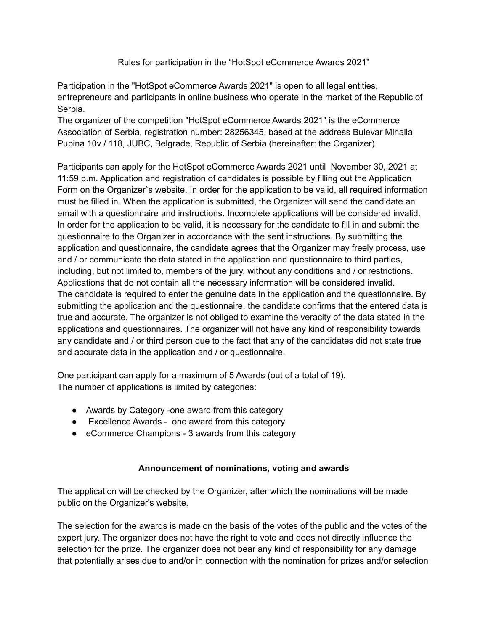Rules for participation in the "HotSpot eCommerce Awards 2021"

Participation in the "HotSpot eCommerce Awards 2021" is open to all legal entities, entrepreneurs and participants in online business who operate in the market of the Republic of Serbia.

The organizer of the competition "HotSpot eCommerce Awards 2021" is the eCommerce Association of Serbia, registration number: 28256345, based at the address Bulevar Mihaila Pupina 10v / 118, JUBC, Belgrade, Republic of Serbia (hereinafter: the Organizer).

Participants can apply for the HotSpot eCommerce Awards 2021 until November 30, 2021 at 11:59 p.m. Application and registration of candidates is possible by filling out the Application Form on the Organizer`s website. In order for the application to be valid, all required information must be filled in. When the application is submitted, the Organizer will send the candidate an email with a questionnaire and instructions. Incomplete applications will be considered invalid. In order for the application to be valid, it is necessary for the candidate to fill in and submit the questionnaire to the Organizer in accordance with the sent instructions. By submitting the application and questionnaire, the candidate agrees that the Organizer may freely process, use and / or communicate the data stated in the application and questionnaire to third parties, including, but not limited to, members of the jury, without any conditions and / or restrictions. Applications that do not contain all the necessary information will be considered invalid. The candidate is required to enter the genuine data in the application and the questionnaire. By submitting the application and the questionnaire, the candidate confirms that the entered data is true and accurate. The organizer is not obliged to examine the veracity of the data stated in the applications and questionnaires. The organizer will not have any kind of responsibility towards any candidate and / or third person due to the fact that any of the candidates did not state true and accurate data in the application and / or questionnaire.

One participant can apply for a maximum of 5 Awards (out of a total of 19). The number of applications is limited by categories:

- Awards by Category -one award from this category
- Excellence Awards one award from this category
- eCommerce Champions 3 awards from this category

## **Announcement of nominations, voting and awards**

The application will be checked by the Organizer, after which the nominations will be made public on the Organizer's website.

The selection for the awards is made on the basis of the votes of the public and the votes of the expert jury. The organizer does not have the right to vote and does not directly influence the selection for the prize. The organizer does not bear any kind of responsibility for any damage that potentially arises due to and/or in connection with the nomination for prizes and/or selection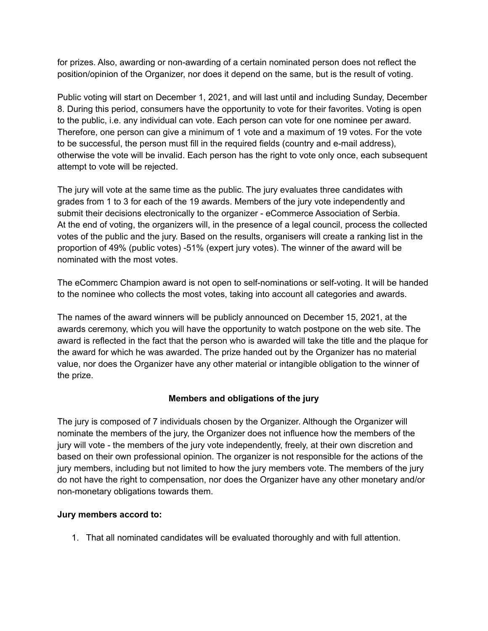for prizes. Also, awarding or non-awarding of a certain nominated person does not reflect the position/opinion of the Organizer, nor does it depend on the same, but is the result of voting.

Public voting will start on December 1, 2021, and will last until and including Sunday, December 8. During this period, consumers have the opportunity to vote for their favorites. Voting is open to the public, i.e. any individual can vote. Each person can vote for one nominee per award. Therefore, one person can give a minimum of 1 vote and a maximum of 19 votes. For the vote to be successful, the person must fill in the required fields (country and e-mail address), otherwise the vote will be invalid. Each person has the right to vote only once, each subsequent attempt to vote will be rejected.

The jury will vote at the same time as the public. The jury evaluates three candidates with grades from 1 to 3 for each of the 19 awards. Members of the jury vote independently and submit their decisions electronically to the organizer - eCommerce Association of Serbia. At the end of voting, the organizers will, in the presence of a legal council, process the collected votes of the public and the jury. Based on the results, organisers will create a ranking list in the proportion of 49% (public votes) -51% (expert jury votes). The winner of the award will be nominated with the most votes.

The eCommerc Champion award is not open to self-nominations or self-voting. It will be handed to the nominee who collects the most votes, taking into account all categories and awards.

The names of the award winners will be publicly announced on December 15, 2021, at the awards ceremony, which you will have the opportunity to watch postpone on the web site. The award is reflected in the fact that the person who is awarded will take the title and the plaque for the award for which he was awarded. The prize handed out by the Organizer has no material value, nor does the Organizer have any other material or intangible obligation to the winner of the prize.

## **Members and obligations of the jury**

The jury is composed of 7 individuals chosen by the Organizer. Although the Organizer will nominate the members of the jury, the Organizer does not influence how the members of the jury will vote - the members of the jury vote independently, freely, at their own discretion and based on their own professional opinion. The organizer is not responsible for the actions of the jury members, including but not limited to how the jury members vote. The members of the jury do not have the right to compensation, nor does the Organizer have any other monetary and/or non-monetary obligations towards them.

## **Jury members accord to:**

1. That all nominated candidates will be evaluated thoroughly and with full attention.